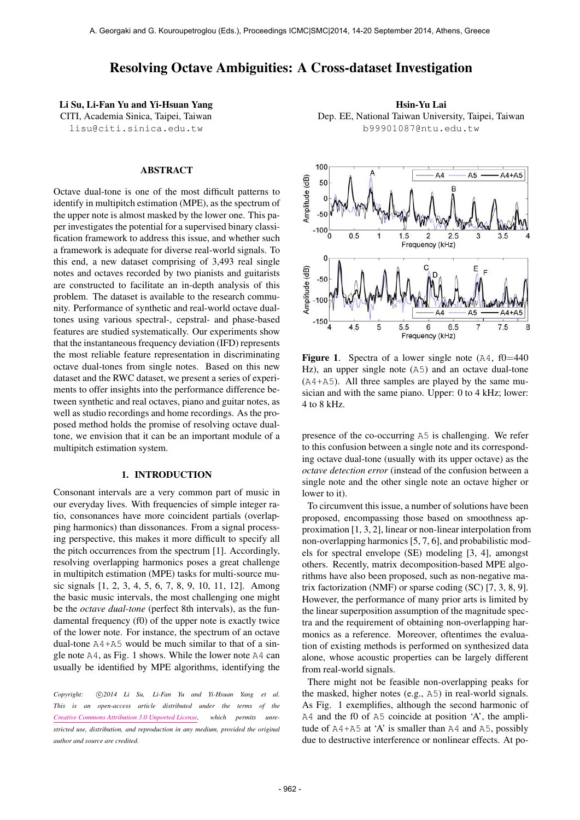# Resolving Octave Ambiguities: A Cross-dataset Investigation

Li Su, Li-Fan Yu and Yi-Hsuan Yang CITI, Academia Sinica, Taipei, Taiwan [lisu@citi.sinica.edu.tw](mailto:author1@smcnetwork.org)

# ABSTRACT

Octave dual-tone is one of the most difficult patterns to identify in multipitch estimation (MPE), as the spectrum of the upper note is almost masked by the lower one. This paper investigates the potential for a supervised binary classification framework to address this issue, and whether such a framework is adequate for diverse real-world signals. To this end, a new dataset comprising of 3,493 real single notes and octaves recorded by two pianists and guitarists are constructed to facilitate an in-depth analysis of this problem. The dataset is available to the research community. Performance of synthetic and real-world octave dualtones using various spectral-, cepstral- and phase-based features are studied systematically. Our experiments show that the instantaneous frequency deviation (IFD) represents the most reliable feature representation in discriminating octave dual-tones from single notes. Based on this new dataset and the RWC dataset, we present a series of experiments to offer insights into the performance difference between synthetic and real octaves, piano and guitar notes, as well as studio recordings and home recordings. As the proposed method holds the promise of resolving octave dualtone, we envision that it can be an important module of a multipitch estimation system.

#### 1. INTRODUCTION

Consonant intervals are a very common part of music in our everyday lives. With frequencies of simple integer ratio, consonances have more coincident partials (overlapping harmonics) than dissonances. From a signal processing perspective, this makes it more difficult to specify all the pitch occurrences from the spectrum [1]. Accordingly, resolving overlapping harmonics poses a great challenge in multipitch estimation (MPE) tasks for multi-source music signals [1, 2, 3, 4, 5, 6, 7, 8, 9, 10, 11, 12]. Among the basic music intervals, the most challenging one might be the *octave dual-tone* (perfect 8th intervals), as the fundamental frequency (f0) of the upper note is exactly twice of the lower note. For instance, the spectrum of an octave dual-tone A4+A5 would be much similar to that of a single note A4, as Fig. 1 shows. While the lower note A4 can usually be identified by MPE algorithms, identifying the

Copyright:  $\bigcirc$ 2014 Li Su, Li-Fan Yu and Yi-Hsuan Yang et al. *This is an open-access article distributed under the terms of the [Creative Commons Attribution 3.0 Unported License,](http://creativecommons.org/licenses/by/3.0/) which permits unrestricted use, distribution, and reproduction in any medium, provided the original author and source are credited.*

Hsin-Yu Lai Dep. EE, National Taiwan University, Taipei, Taiwan [b99901087@ntu.edu.tw](mailto:author2@smcnetwork.org)



**Figure 1.** Spectra of a lower single note  $(A4, f0=440)$ Hz), an upper single note (A5) and an octave dual-tone (A4+A5). All three samples are played by the same musician and with the same piano. Upper: 0 to 4 kHz; lower: 4 to 8 kHz.

presence of the co-occurring A5 is challenging. We refer to this confusion between a single note and its corresponding octave dual-tone (usually with its upper octave) as the *octave detection error* (instead of the confusion between a single note and the other single note an octave higher or lower to it).

To circumvent this issue, a number of solutions have been proposed, encompassing those based on smoothness approximation [1, 3, 2], linear or non-linear interpolation from non-overlapping harmonics [5, 7, 6], and probabilistic models for spectral envelope (SE) modeling [3, 4], amongst others. Recently, matrix decomposition-based MPE algorithms have also been proposed, such as non-negative matrix factorization (NMF) or sparse coding (SC) [7, 3, 8, 9]. However, the performance of many prior arts is limited by the linear superposition assumption of the magnitude spectra and the requirement of obtaining non-overlapping harmonics as a reference. Moreover, oftentimes the evaluation of existing methods is performed on synthesized data alone, whose acoustic properties can be largely different from real-world signals.

There might not be feasible non-overlapping peaks for the masked, higher notes (e.g., A5) in real-world signals. As Fig. 1 exemplifies, although the second harmonic of A4 and the f0 of A5 coincide at position 'A', the amplitude of  $A4+A5$  at 'A' is smaller than  $A4$  and  $A5$ , possibly due to destructive interference or nonlinear effects. At po-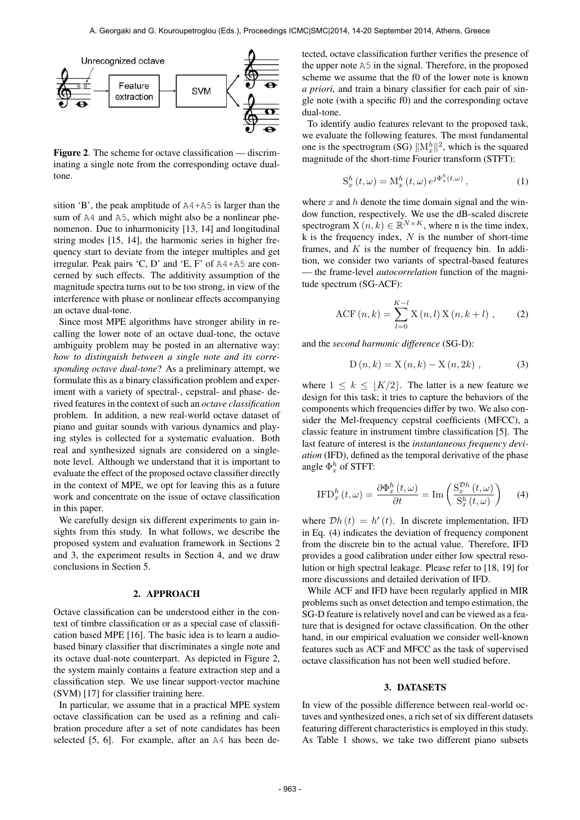

Figure 2. The scheme for octave classification — discriminating a single note from the corresponding octave dualtone.

sition 'B', the peak amplitude of A4+A5 is larger than the sum of A4 and A5, which might also be a nonlinear phenomenon. Due to inharmonicity [13, 14] and longitudinal string modes [15, 14], the harmonic series in higher frequency start to deviate from the integer multiples and get irregular. Peak pairs 'C, D' and 'E, F' of A4+A5 are concerned by such effects. The additivity assumption of the magnitude spectra turns out to be too strong, in view of the interference with phase or nonlinear effects accompanying an octave dual-tone.

Since most MPE algorithms have stronger ability in recalling the lower note of an octave dual-tone, the octave ambiguity problem may be posted in an alternative way: *how to distinguish between a single note and its corresponding octave dual-tone*? As a preliminary attempt, we formulate this as a binary classification problem and experiment with a variety of spectral-, cepstral- and phase- derived features in the context of such an *octave classification* problem. In addition, a new real-world octave dataset of piano and guitar sounds with various dynamics and playing styles is collected for a systematic evaluation. Both real and synthesized signals are considered on a singlenote level. Although we understand that it is important to evaluate the effect of the proposed octave classifier directly in the context of MPE, we opt for leaving this as a future work and concentrate on the issue of octave classification in this paper.

We carefully design six different experiments to gain insights from this study. In what follows, we describe the proposed system and evaluation framework in Sections 2 and 3, the experiment results in Section 4, and we draw conclusions in Section 5.

# 2. APPROACH

Octave classification can be understood either in the context of timbre classification or as a special case of classification based MPE [16]. The basic idea is to learn a audiobased binary classifier that discriminates a single note and its octave dual-note counterpart. As depicted in Figure 2, the system mainly contains a feature extraction step and a classification step. We use linear support-vector machine (SVM) [17] for classifier training here.

In particular, we assume that in a practical MPE system octave classification can be used as a refining and calibration procedure after a set of note candidates has been selected [5, 6]. For example, after an A4 has been detected, octave classification further verifies the presence of the upper note A5 in the signal. Therefore, in the proposed scheme we assume that the f0 of the lower note is known *a priori*, and train a binary classifier for each pair of single note (with a specific f0) and the corresponding octave dual-tone.

To identify audio features relevant to the proposed task, we evaluate the following features. The most fundamental one is the spectrogram (SG)  $\|\mathbf{M}_x^h\|^2$ , which is the squared magnitude of the short-time Fourier transform (STFT):

$$
S_x^h(t,\omega) = M_x^h(t,\omega) e^{j\Phi_x^h(t,\omega)}, \qquad (1)
$$

where x and h denote the time domain signal and the window function, respectively. We use the dB-scaled discrete spectrogram  $X(n, k) \in \mathbb{R}^{N \times K}$ , where n is the time index, k is the frequency index,  $N$  is the number of short-time frames, and  $K$  is the number of frequency bin. In addition, we consider two variants of spectral-based features — the frame-level *autocorrelation* function of the magnitude spectrum (SG-ACF):

ACF 
$$
(n, k) = \sum_{l=0}^{K-l} X(n, l) X(n, k+l)
$$
, (2)

and the *second harmonic difference* (SG-D):

$$
D(n,k) = X(n,k) - X(n,2k) ,
$$
 (3)

where  $1 \leq k \leq |K/2|$ . The latter is a new feature we design for this task; it tries to capture the behaviors of the components which frequencies differ by two. We also consider the Mel-frequency cepstral coefficients (MFCC), a classic feature in instrument timbre classification [5]. The last feature of interest is the *instantaneous frequency deviation* (IFD), defined as the temporal derivative of the phase angle  $\Phi_x^h$  of STFT:

$$
\text{IFD}_{x}^{h}\left(t,\omega\right) = \frac{\partial \Phi_{x}^{h}\left(t,\omega\right)}{\partial t} = \text{Im}\left(\frac{\mathcal{S}_{x}^{\mathcal{D}h}\left(t,\omega\right)}{\mathcal{S}_{x}^{h}\left(t,\omega\right)}\right) \tag{4}
$$

where  $\mathcal{D}h(t) = h'(t)$ . In discrete implementation, IFD in Eq. (4) indicates the deviation of frequency component from the discrete bin to the actual value. Therefore, IFD provides a good calibration under either low spectral resolution or high spectral leakage. Please refer to [18, 19] for more discussions and detailed derivation of IFD.

While ACF and IFD have been regularly applied in MIR problems such as onset detection and tempo estimation, the SG-D feature is relatively novel and can be viewed as a feature that is designed for octave classification. On the other hand, in our empirical evaluation we consider well-known features such as ACF and MFCC as the task of supervised octave classification has not been well studied before.

# 3. DATASETS

In view of the possible difference between real-world octaves and synthesized ones, a rich set of six different datasets featuring different characteristics is employed in this study. As Table 1 shows, we take two different piano subsets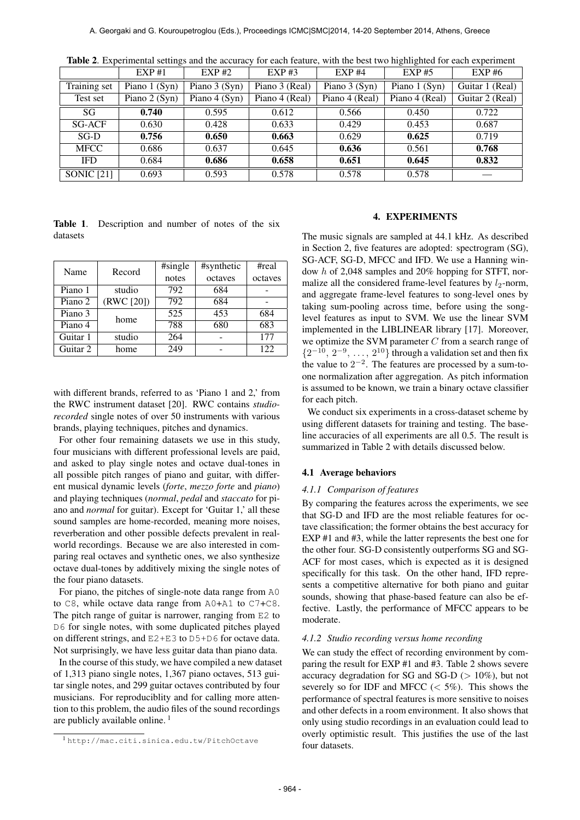|                   | EXP#1         | EXP#2         | $EXP$ #3       | EXP#4          | $EXP$ #5       | EXP#6           |
|-------------------|---------------|---------------|----------------|----------------|----------------|-----------------|
| Training set      | Piano 1 (Syn) | Piano 3 (Syn) | Piano 3 (Real) | Piano 3 (Syn)  | Piano 1 (Syn)  | Guitar 1 (Real) |
| Test set          | Piano 2 (Syn) | Piano 4 (Syn) | Piano 4 (Real) | Piano 4 (Real) | Piano 4 (Real) | Guitar 2 (Real) |
| SG                | 0.740         | 0.595         | 0.612          | 0.566          | 0.450          | 0.722           |
| <b>SG-ACF</b>     | 0.630         | 0.428         | 0.633          | 0.429          | 0.453          | 0.687           |
| $SG-D$            | 0.756         | 0.650         | 0.663          | 0.629          | 0.625          | 0.719           |
| <b>MFCC</b>       | 0.686         | 0.637         | 0.645          | 0.636          | 0.561          | 0.768           |
| <b>IFD</b>        | 0.684         | 0.686         | 0.658          | 0.651          | 0.645          | 0.832           |
| <b>SONIC</b> [21] | 0.693         | 0.593         | 0.578          | 0.578          | 0.578          |                 |

Table 2. Experimental settings and the accuracy for each feature, with the best two highlighted for each experiment

|          | Table 1. Description and number of notes of the six |  |  |  |  |
|----------|-----------------------------------------------------|--|--|--|--|
| datasets |                                                     |  |  |  |  |

| Name     | Record     | #single | #synthetic | #real   |  |
|----------|------------|---------|------------|---------|--|
|          |            | notes   | octaves    | octaves |  |
| Piano 1  | studio     | 792     | 684        |         |  |
| Piano 2  | (RWC [20]) | 792     | 684        |         |  |
| Piano 3  | home       | 525     | 453        | 684     |  |
| Piano 4  |            | 788     | 680        | 683     |  |
| Guitar 1 | studio     | 264     |            | 177     |  |
| Guitar 2 | home       | 249     |            | 122     |  |

with different brands, referred to as 'Piano 1 and 2,' from the RWC instrument dataset [20]. RWC contains *studiorecorded* single notes of over 50 instruments with various brands, playing techniques, pitches and dynamics.

For other four remaining datasets we use in this study, four musicians with different professional levels are paid, and asked to play single notes and octave dual-tones in all possible pitch ranges of piano and guitar, with different musical dynamic levels (*forte*, *mezzo forte* and *piano*) and playing techniques (*normal*, *pedal* and *staccato* for piano and *normal* for guitar). Except for 'Guitar 1,' all these sound samples are home-recorded, meaning more noises, reverberation and other possible defects prevalent in realworld recordings. Because we are also interested in comparing real octaves and synthetic ones, we also synthesize octave dual-tones by additively mixing the single notes of the four piano datasets.

For piano, the pitches of single-note data range from A0 to C8, while octave data range from A0+A1 to C7+C8. The pitch range of guitar is narrower, ranging from E2 to D6 for single notes, with some duplicated pitches played on different strings, and E2+E3 to D5+D6 for octave data. Not surprisingly, we have less guitar data than piano data.

In the course of this study, we have compiled a new dataset of 1,313 piano single notes, 1,367 piano octaves, 513 guitar single notes, and 299 guitar octaves contributed by four musicians. For reproduciblity and for calling more attention to this problem, the audio files of the sound recordings are publicly available online. 1

### 4. EXPERIMENTS

The music signals are sampled at 44.1 kHz. As described in Section 2, five features are adopted: spectrogram (SG), SG-ACF, SG-D, MFCC and IFD. We use a Hanning window h of 2,048 samples and 20% hopping for STFT, normalize all the considered frame-level features by  $l_2$ -norm, and aggregate frame-level features to song-level ones by taking sum-pooling across time, before using the songlevel features as input to SVM. We use the linear SVM implemented in the LIBLINEAR library [17]. Moreover, we optimize the SVM parameter  $C$  from a search range of  $\{2^{-10}, 2^{-9}, \ldots, 2^{10}\}$  through a validation set and then fix the value to  $2^{-2}$ . The features are processed by a sum-toone normalization after aggregation. As pitch information is assumed to be known, we train a binary octave classifier for each pitch.

We conduct six experiments in a cross-dataset scheme by using different datasets for training and testing. The baseline accuracies of all experiments are all 0.5. The result is summarized in Table 2 with details discussed below.

# 4.1 Average behaviors

### *4.1.1 Comparison of features*

By comparing the features across the experiments, we see that SG-D and IFD are the most reliable features for octave classification; the former obtains the best accuracy for EXP #1 and #3, while the latter represents the best one for the other four. SG-D consistently outperforms SG and SG-ACF for most cases, which is expected as it is designed specifically for this task. On the other hand, IFD represents a competitive alternative for both piano and guitar sounds, showing that phase-based feature can also be effective. Lastly, the performance of MFCC appears to be moderate.

#### *4.1.2 Studio recording versus home recording*

We can study the effect of recording environment by comparing the result for EXP #1 and #3. Table 2 shows severe accuracy degradation for SG and SG-D ( $> 10\%$ ), but not severely so for IDF and MFCC  $\left(\langle 5\% \rangle \right)$ . This shows the performance of spectral features is more sensitive to noises and other defects in a room environment. It also shows that only using studio recordings in an evaluation could lead to overly optimistic result. This justifies the use of the last four datasets.

<sup>1</sup> <http://mac.citi.sinica.edu.tw/PitchOctave>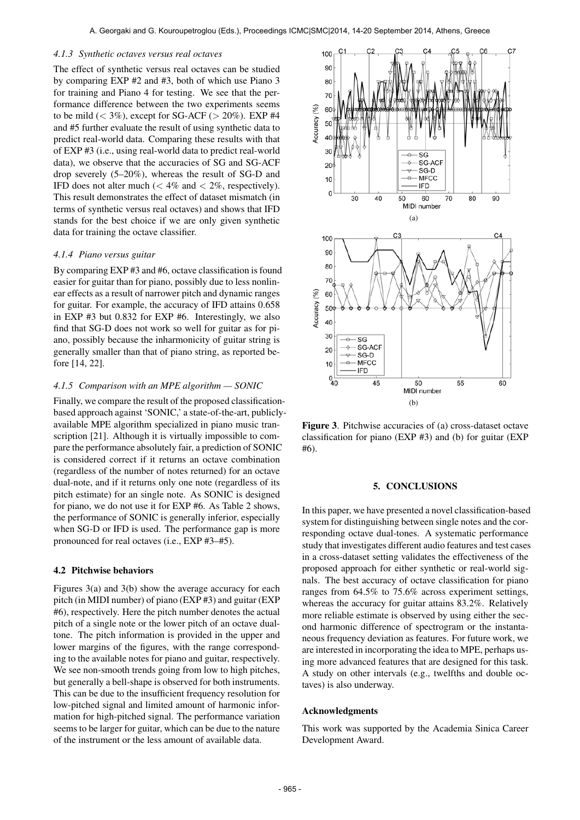#### *4.1.3 Synthetic octaves versus real octaves*

The effect of synthetic versus real octaves can be studied by comparing EXP #2 and #3, both of which use Piano 3 for training and Piano 4 for testing. We see that the performance difference between the two experiments seems to be mild  $(< 3\%)$ , except for SG-ACF  $(> 20\%)$ . EXP #4 and #5 further evaluate the result of using synthetic data to predict real-world data. Comparing these results with that of EXP #3 (i.e., using real-world data to predict real-world data), we observe that the accuracies of SG and SG-ACF drop severely (5–20%), whereas the result of SG-D and IFD does not alter much ( $< 4\%$  and  $< 2\%$ , respectively). This result demonstrates the effect of dataset mismatch (in terms of synthetic versus real octaves) and shows that IFD stands for the best choice if we are only given synthetic data for training the octave classifier.

### *4.1.4 Piano versus guitar*

By comparing EXP #3 and #6, octave classification is found easier for guitar than for piano, possibly due to less nonlinear effects as a result of narrower pitch and dynamic ranges for guitar. For example, the accuracy of IFD attains 0.658 in EXP #3 but 0.832 for EXP #6. Interestingly, we also find that SG-D does not work so well for guitar as for piano, possibly because the inharmonicity of guitar string is generally smaller than that of piano string, as reported before [14, 22].

### *4.1.5 Comparison with an MPE algorithm — SONIC*

Finally, we compare the result of the proposed classificationbased approach against 'SONIC,' a state-of-the-art, publiclyavailable MPE algorithm specialized in piano music transcription [21]. Although it is virtually impossible to compare the performance absolutely fair, a prediction of SONIC is considered correct if it returns an octave combination (regardless of the number of notes returned) for an octave dual-note, and if it returns only one note (regardless of its pitch estimate) for an single note. As SONIC is designed for piano, we do not use it for EXP #6. As Table 2 shows, the performance of SONIC is generally inferior, especially when SG-D or IFD is used. The performance gap is more pronounced for real octaves (i.e., EXP #3–#5).

### 4.2 Pitchwise behaviors

Figures 3(a) and 3(b) show the average accuracy for each pitch (in MIDI number) of piano (EXP #3) and guitar (EXP #6), respectively. Here the pitch number denotes the actual pitch of a single note or the lower pitch of an octave dualtone. The pitch information is provided in the upper and lower margins of the figures, with the range corresponding to the available notes for piano and guitar, respectively. We see non-smooth trends going from low to high pitches, but generally a bell-shape is observed for both instruments. This can be due to the insufficient frequency resolution for low-pitched signal and limited amount of harmonic information for high-pitched signal. The performance variation seems to be larger for guitar, which can be due to the nature of the instrument or the less amount of available data.



Figure 3. Pitchwise accuracies of (a) cross-dataset octave classification for piano (EXP #3) and (b) for guitar (EXP #6).

# 5. CONCLUSIONS

In this paper, we have presented a novel classification-based system for distinguishing between single notes and the corresponding octave dual-tones. A systematic performance study that investigates different audio features and test cases in a cross-dataset setting validates the effectiveness of the proposed approach for either synthetic or real-world signals. The best accuracy of octave classification for piano ranges from 64.5% to 75.6% across experiment settings, whereas the accuracy for guitar attains 83.2%. Relatively more reliable estimate is observed by using either the second harmonic difference of spectrogram or the instantaneous frequency deviation as features. For future work, we are interested in incorporating the idea to MPE, perhaps using more advanced features that are designed for this task. A study on other intervals (e.g., twelfths and double octaves) is also underway.

### Acknowledgments

This work was supported by the Academia Sinica Career Development Award.